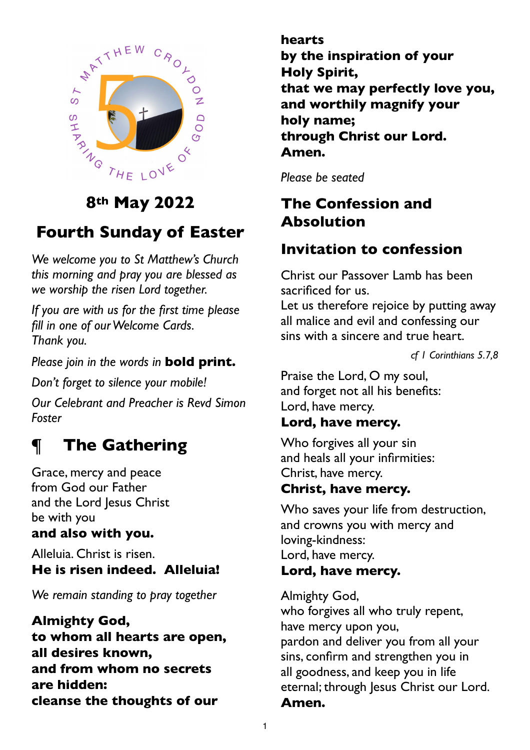

## **8th May 2022**

## **Fourth Sunday of Easter**

*We welcome you to St Matthew's Church this morning and pray you are blessed as we worship the risen Lord together.* 

*If you are with us for the first time please fill in one of our Welcome Cards. Thank you.* 

*Please join in the words in* **bold print.** 

*Don't forget to silence your mobile!*

*Our Celebrant and Preacher is Revd Simon Foster*

## **¶ The Gathering**

Grace, mercy and peace from God our Father and the Lord Jesus Christ be with you **and also with you.**

Alleluia. Christ is risen. **He is risen indeed. Alleluia!**

*We remain standing to pray together*

**Almighty God, to whom all hearts are open, all desires known, and from whom no secrets are hidden: cleanse the thoughts of our** 

**hearts by the inspiration of your Holy Spirit, that we may perfectly love you, and worthily magnify your holy name; through Christ our Lord. Amen.**

*Please be seated*

## **The Confession and Absolution**

## **Invitation to confession**

Christ our Passover Lamb has been sacrificed for us.

Let us therefore rejoice by putting away all malice and evil and confessing our sins with a sincere and true heart.

*cf 1 Corinthians 5.7,8*

Praise the Lord, O my soul, and forget not all his benefits: Lord, have mercy.

#### **Lord, have mercy.**

Who forgives all your sin and heals all your infirmities: Christ, have mercy.

#### **Christ, have mercy.**

Who saves your life from destruction, and crowns you with mercy and loving-kindness: Lord, have mercy. **Lord, have mercy.**

Almighty God, who forgives all who truly repent, have mercy upon you, pardon and deliver you from all your sins, confirm and strengthen you in all goodness, and keep you in life eternal; through Jesus Christ our Lord. **Amen.**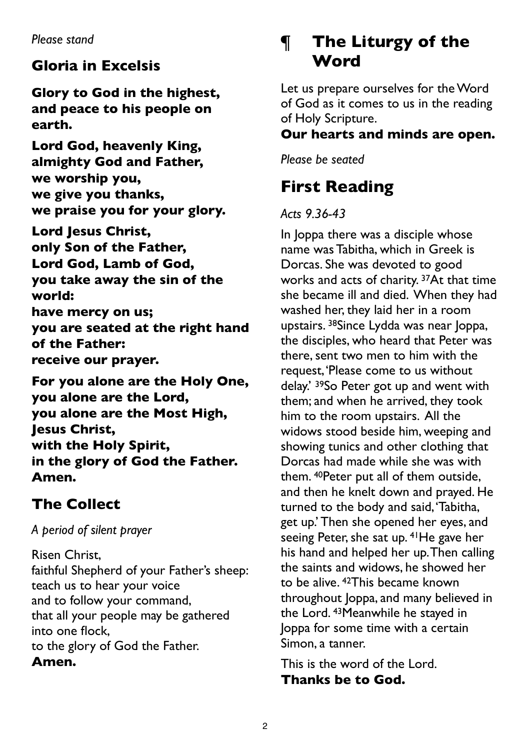## **Gloria in Excelsis**

**Glory to God in the highest, and peace to his people on earth.**

**Lord God, heavenly King, almighty God and Father, we worship you, we give you thanks, we praise you for your glory.**

**Lord Jesus Christ, only Son of the Father, Lord God, Lamb of God, you take away the sin of the world: have mercy on us; you are seated at the right hand of the Father: receive our prayer.**

**For you alone are the Holy One, you alone are the Lord, you alone are the Most High, Jesus Christ, with the Holy Spirit, in the glory of God the Father. Amen.**

## **The Collect**

*A period of silent prayer*

Risen Christ, faithful Shepherd of your Father's sheep: teach us to hear your voice and to follow your command, that all your people may be gathered into one flock, to the glory of God the Father. **Amen.**

## **¶ The Liturgy of the Word**

Let us prepare ourselves for the Word of God as it comes to us in the reading of Holy Scripture.

### **Our hearts and minds are open.**

*Please be seated*

## **First Reading**

#### *Acts 9.36-43*

In Joppa there was a disciple whose name was Tabitha, which in Greek is Dorcas. She was devoted to good works and acts of charity. 37At that time she became ill and died. When they had washed her, they laid her in a room upstairs. 38Since Lydda was near Joppa, the disciples, who heard that Peter was there, sent two men to him with the request, 'Please come to us without delay.' 39So Peter got up and went with them; and when he arrived, they took him to the room upstairs. All the widows stood beside him, weeping and showing tunics and other clothing that Dorcas had made while she was with them. 40Peter put all of them outside, and then he knelt down and prayed. He turned to the body and said, 'Tabitha, get up.' Then she opened her eyes, and seeing Peter, she sat up. <sup>41</sup>He gave her his hand and helped her up. Then calling the saints and widows, he showed her to be alive. 42This became known throughout Joppa, and many believed in the Lord. 43Meanwhile he stayed in Joppa for some time with a certain Simon, a tanner.

This is the word of the Lord. **Thanks be to God.**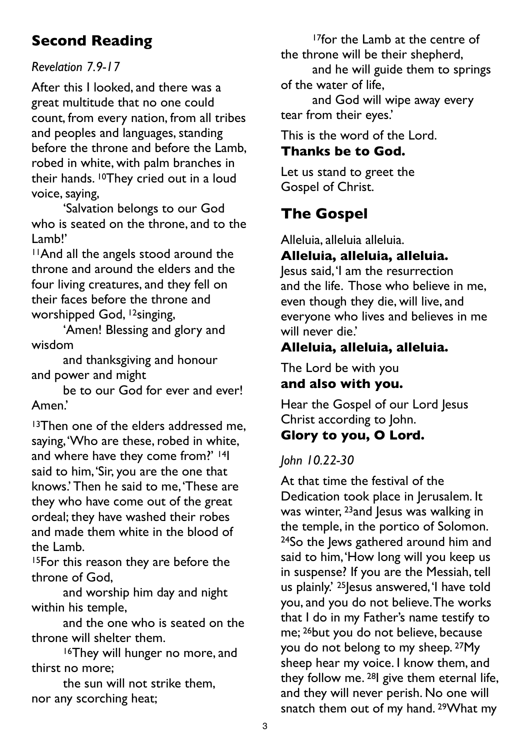## **Second Reading**

#### *Revelation 7.9-17*

After this I looked, and there was a great multitude that no one could count, from every nation, from all tribes and peoples and languages, standing before the throne and before the Lamb, robed in white, with palm branches in their hands. 10They cried out in a loud voice, saying,

'Salvation belongs to our God who is seated on the throne, and to the Lamb!'

11And all the angels stood around the throne and around the elders and the four living creatures, and they fell on their faces before the throne and worshipped God, 12singing,

'Amen! Blessing and glory and wisdom

and thanksgiving and honour and power and might

be to our God for ever and ever! Amen.'

<sup>13</sup>Then one of the elders addressed me, saying, 'Who are these, robed in white, and where have they come from?' 14I said to him, 'Sir, you are the one that knows.' Then he said to me, 'These are they who have come out of the great ordeal; they have washed their robes and made them white in the blood of the Lamb.

<sup>15</sup>For this reason they are before the throne of God,

and worship him day and night within his temple,

and the one who is seated on the throne will shelter them.

16They will hunger no more, and thirst no more;

the sun will not strike them, nor any scorching heat;

<sup>17</sup>for the Lamb at the centre of the throne will be their shepherd,

and he will guide them to springs of the water of life,

and God will wipe away every tear from their eyes.'

This is the word of the Lord.

#### **Thanks be to God.**

Let us stand to greet the Gospel of Christ.

## **The Gospel**

Alleluia, alleluia alleluia.

#### **Alleluia, alleluia, alleluia.**

Jesus said, 'I am the resurrection and the life. Those who believe in me, even though they die, will live, and everyone who lives and believes in me will never die.'

#### **Alleluia, alleluia, alleluia.**

The Lord be with you **and also with you.**

Hear the Gospel of our Lord Jesus Christ according to John.

#### **Glory to you, O Lord.**

#### *John 10.22-30*

At that time the festival of the Dedication took place in Jerusalem. It was winter, <sup>23</sup>and Jesus was walking in the temple, in the portico of Solomon. 24So the Jews gathered around him and said to him, 'How long will you keep us in suspense? If you are the Messiah, tell us plainly.' <sup>25</sup> lesus answered, 'I have told you, and you do not believe. The works that I do in my Father's name testify to me; 26but you do not believe, because you do not belong to my sheep. 27My sheep hear my voice. I know them, and they follow me. 28I give them eternal life, and they will never perish. No one will snatch them out of my hand. 29What my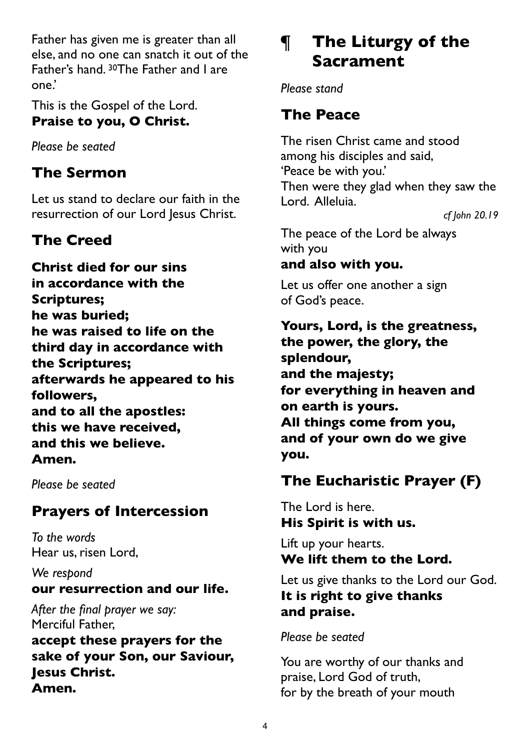Father has given me is greater than all else, and no one can snatch it out of the Father's hand. 30The Father and I are one.'

This is the Gospel of the Lord.

#### **Praise to you, O Christ.**

*Please be seated* 

## **The Sermon**

Let us stand to declare our faith in the resurrection of our Lord Jesus Christ.

## **The Creed**

**Christ died for our sins in accordance with the Scriptures; he was buried; he was raised to life on the third day in accordance with the Scriptures; afterwards he appeared to his followers, and to all the apostles: this we have received, and this we believe. Amen.**

*Please be seated*

## **Prayers of Intercession**

*To the words* Hear us, risen Lord,

*We respond*

#### **our resurrection and our life.**

*After the final prayer we say:* Merciful Father,

**accept these prayers for the sake of your Son, our Saviour, Jesus Christ. Amen.**

## **¶ The Liturgy of the Sacrament**

*Please stand* 

## **The Peace**

The risen Christ came and stood among his disciples and said, 'Peace be with you.' Then were they glad when they saw the Lord. Alleluia. *cf John 20.19*

The peace of the Lord be always with you **and also with you.**

Let us offer one another a sign of God's peace.

**Yours, Lord, is the greatness, the power, the glory, the splendour, and the majesty; for everything in heaven and on earth is yours. All things come from you, and of your own do we give you.**

### **The Eucharistic Prayer (F)**

The Lord is here. **His Spirit is with us.**

Lift up your hearts. **We lift them to the Lord.**

Let us give thanks to the Lord our God. **It is right to give thanks and praise.**

*Please be seated*

You are worthy of our thanks and praise, Lord God of truth, for by the breath of your mouth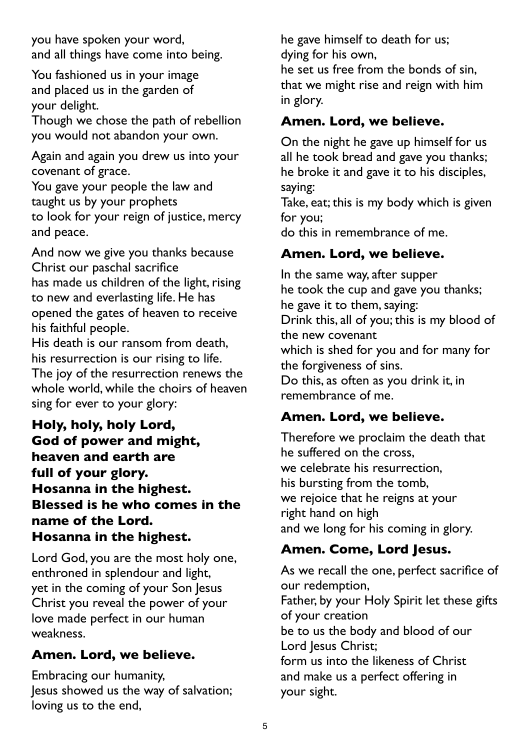you have spoken your word, and all things have come into being.

You fashioned us in your image and placed us in the garden of your delight.

Though we chose the path of rebellion you would not abandon your own.

Again and again you drew us into your covenant of grace.

You gave your people the law and taught us by your prophets to look for your reign of justice, mercy and peace.

And now we give you thanks because Christ our paschal sacrifice has made us children of the light, rising to new and everlasting life. He has opened the gates of heaven to receive his faithful people.

His death is our ransom from death, his resurrection is our rising to life. The joy of the resurrection renews the whole world, while the choirs of heaven sing for ever to your glory:

**Holy, holy, holy Lord, God of power and might, heaven and earth are full of your glory. Hosanna in the highest. Blessed is he who comes in the name of the Lord. Hosanna in the highest.**

Lord God, you are the most holy one, enthroned in splendour and light, yet in the coming of your Son Jesus Christ you reveal the power of your love made perfect in our human weakness.

#### **Amen. Lord, we believe.**

Embracing our humanity, Jesus showed us the way of salvation; loving us to the end,

he gave himself to death for us; dying for his own,

he set us free from the bonds of sin, that we might rise and reign with him in glory.

#### **Amen. Lord, we believe.**

On the night he gave up himself for us all he took bread and gave you thanks; he broke it and gave it to his disciples, saying:

Take, eat; this is my body which is given for you;

do this in remembrance of me.

#### **Amen. Lord, we believe.**

In the same way, after supper he took the cup and gave you thanks; he gave it to them, saying: Drink this, all of you; this is my blood of the new covenant which is shed for you and for many for the forgiveness of sins. Do this, as often as you drink it, in remembrance of me.

#### **Amen. Lord, we believe.**

Therefore we proclaim the death that he suffered on the cross, we celebrate his resurrection, his bursting from the tomb, we rejoice that he reigns at your right hand on high and we long for his coming in glory.

#### **Amen. Come, Lord Jesus.**

As we recall the one, perfect sacrifice of our redemption, Father, by your Holy Spirit let these gifts of your creation be to us the body and blood of our Lord Jesus Christ; form us into the likeness of Christ and make us a perfect offering in your sight.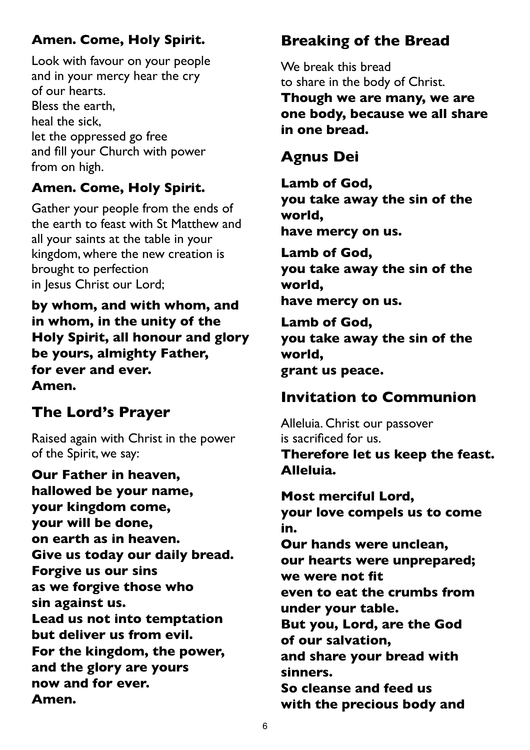#### **Amen. Come, Holy Spirit.**

Look with favour on your people and in your mercy hear the cry of our hearts. Bless the earth, heal the sick, let the oppressed go free and fill your Church with power from on high.

#### **Amen. Come, Holy Spirit.**

Gather your people from the ends of the earth to feast with St Matthew and all your saints at the table in your kingdom, where the new creation is brought to perfection in Jesus Christ our Lord;

**by whom, and with whom, and in whom, in the unity of the Holy Spirit, all honour and glory be yours, almighty Father, for ever and ever. Amen.**

### **The Lord's Prayer**

Raised again with Christ in the power of the Spirit, we say:

**Our Father in heaven, hallowed be your name, your kingdom come, your will be done, on earth as in heaven. Give us today our daily bread. Forgive us our sins as we forgive those who sin against us. Lead us not into temptation but deliver us from evil. For the kingdom, the power, and the glory are yours now and for ever. Amen.** 

## **Breaking of the Bread**

We break this bread to share in the body of Christ. **Though we are many, we are one body, because we all share in one bread.**

## **Agnus Dei**

**Lamb of God, you take away the sin of the world, have mercy on us.**

**Lamb of God, you take away the sin of the world,**

**have mercy on us.**

**Lamb of God, you take away the sin of the world, grant us peace.**

### **Invitation to Communion**

Alleluia. Christ our passover is sacrificed for us. **Therefore let us keep the feast. Alleluia.**

**Most merciful Lord, your love compels us to come in. Our hands were unclean, our hearts were unprepared; we were not fit even to eat the crumbs from under your table. But you, Lord, are the God of our salvation, and share your bread with sinners. So cleanse and feed us with the precious body and**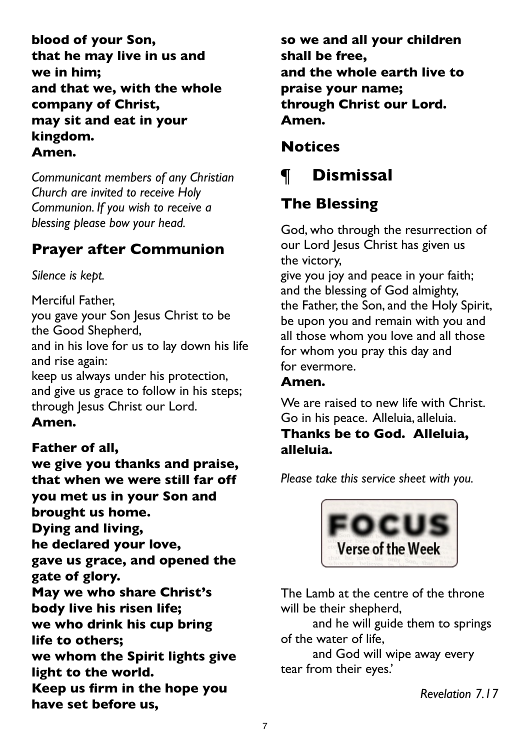**blood of your Son, that he may live in us and we in him; and that we, with the whole company of Christ, may sit and eat in your kingdom. Amen.**

*Communicant members of any Christian Church are invited to receive Holy Communion. If you wish to receive a blessing please bow your head.*

#### **Prayer after Communion**

*Silence is kept.*

Merciful Father,

you gave your Son Jesus Christ to be the Good Shepherd,

and in his love for us to lay down his life and rise again:

keep us always under his protection, and give us grace to follow in his steps; through Jesus Christ our Lord.

#### **Amen.**

**Father of all,**

**we give you thanks and praise, that when we were still far off you met us in your Son and brought us home. Dying and living, he declared your love, gave us grace, and opened the gate of glory. May we who share Christ's body live his risen life; we who drink his cup bring life to others; we whom the Spirit lights give light to the world. Keep us firm in the hope you have set before us,**

**so we and all your children shall be free, and the whole earth live to praise your name; through Christ our Lord. Amen.**

## **Notices**

# **¶ Dismissal**

## **The Blessing**

God, who through the resurrection of our Lord Jesus Christ has given us the victory,

give you joy and peace in your faith; and the blessing of God almighty, the Father, the Son, and the Holy Spirit, be upon you and remain with you and all those whom you love and all those for whom you pray this day and for evermore.

#### **Amen.**

We are raised to new life with Christ. Go in his peace. Alleluia, alleluia.

**Thanks be to God. Alleluia, alleluia.**

*Please take this service sheet with you.*



The Lamb at the centre of the throne will be their shepherd,

and he will guide them to springs of the water of life,

and God will wipe away every tear from their eyes.'

*Revelation 7.17*